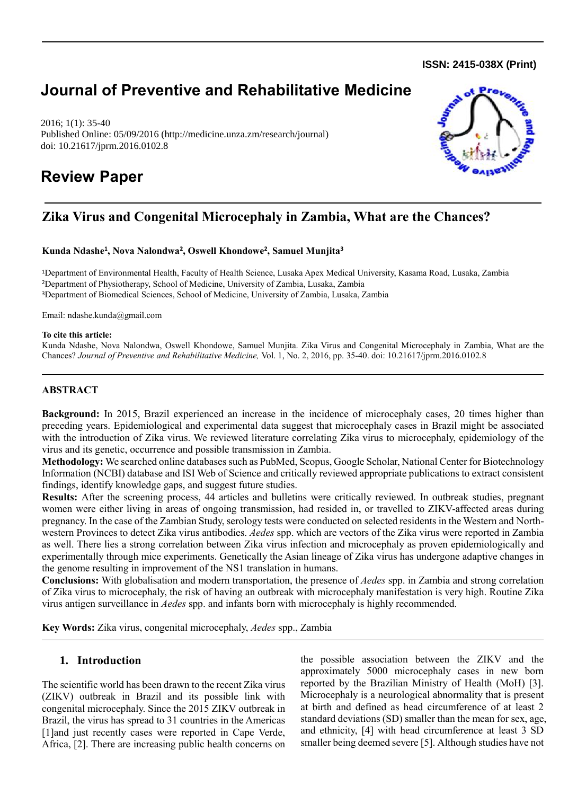**ISSN: 2415-038X (Print)** 

# **Journal of Preventive and Rehabilitative Medicine**

2016; 1(1): 35-40 Published Online: 05/09/2016 (http://medicine.unza.zm/research/journal) doi: 10.21617/jprm.2016.0102.8

# **Review Paper**



## **Zika Virus and Congenital Microcephaly in Zambia, What are the Chances?**

#### **Kunda Ndashe<sup>1</sup> , Nova Nalondwa<sup>2</sup> , Oswell Khondowe<sup>2</sup> , Samuel Munjita<sup>3</sup>**

<sup>1</sup>Department of Environmental Health, Faculty of Health Science, Lusaka Apex Medical University, Kasama Road, Lusaka, Zambia <sup>2</sup>Department of Physiotherapy, School of Medicine, University of Zambia, Lusaka, Zambia <sup>3</sup>Department of Biomedical Sciences, School of Medicine, University of Zambia, Lusaka, Zambia

Email: ndashe.kunda@gmail.com

#### **To cite this article:**

Kunda Ndashe, Nova Nalondwa, Oswell Khondowe, Samuel Munjita. Zika Virus and Congenital Microcephaly in Zambia, What are the Chances? *Journal of Preventive and Rehabilitative Medicine,* Vol. 1, No. 2, 2016, pp. 35-40. doi: 10.21617/jprm.2016.0102.8

### **ABSTRACT**

**Background:** In 2015, Brazil experienced an increase in the incidence of microcephaly cases, 20 times higher than preceding years. Epidemiological and experimental data suggest that microcephaly cases in Brazil might be associated with the introduction of Zika virus. We reviewed literature correlating Zika virus to microcephaly, epidemiology of the virus and its genetic, occurrence and possible transmission in Zambia.

**Methodology:** We searched online databases such as PubMed, Scopus, Google Scholar, National Center for Biotechnology Information (NCBI) database and ISI Web of Science and critically reviewed appropriate publications to extract consistent findings, identify knowledge gaps, and suggest future studies.

**Results:** After the screening process, 44 articles and bulletins were critically reviewed. In outbreak studies, pregnant women were either living in areas of ongoing transmission, had resided in, or travelled to ZIKV-affected areas during pregnancy. In the case of the Zambian Study, serology tests were conducted on selected residents in the Western and Northwestern Provinces to detect Zika virus antibodies. *Aedes* spp. which are vectors of the Zika virus were reported in Zambia as well. There lies a strong correlation between Zika virus infection and microcephaly as proven epidemiologically and experimentally through mice experiments. Genetically the Asian lineage of Zika virus has undergone adaptive changes in the genome resulting in improvement of the NS1 translation in humans.

**Conclusions:** With globalisation and modern transportation, the presence of *Aedes* spp. in Zambia and strong correlation of Zika virus to microcephaly, the risk of having an outbreak with microcephaly manifestation is very high. Routine Zika virus antigen surveillance in *Aedes* spp. and infants born with microcephaly is highly recommended.

**Key Words:** Zika virus, congenital microcephaly, *Aedes* spp., Zambia

### **1. Introduction**

The scientific world has been drawn to the recent Zika virus (ZIKV) outbreak in Brazil and its possible link with congenital microcephaly. Since the 2015 ZIKV outbreak in Brazil, the virus has spread to 31 countries in the Americas [1]and just recently cases were reported in Cape Verde, Africa, [2]. There are increasing public health concerns on the possible association between the ZIKV and the approximately 5000 microcephaly cases in new born reported by the Brazilian Ministry of Health (MoH) [3]. Microcephaly is a neurological abnormality that is present at birth and defined as head circumference of at least 2 standard deviations (SD) smaller than the mean for sex, age, and ethnicity, [4] with head circumference at least 3 SD smaller being deemed severe [5]. Although studies have not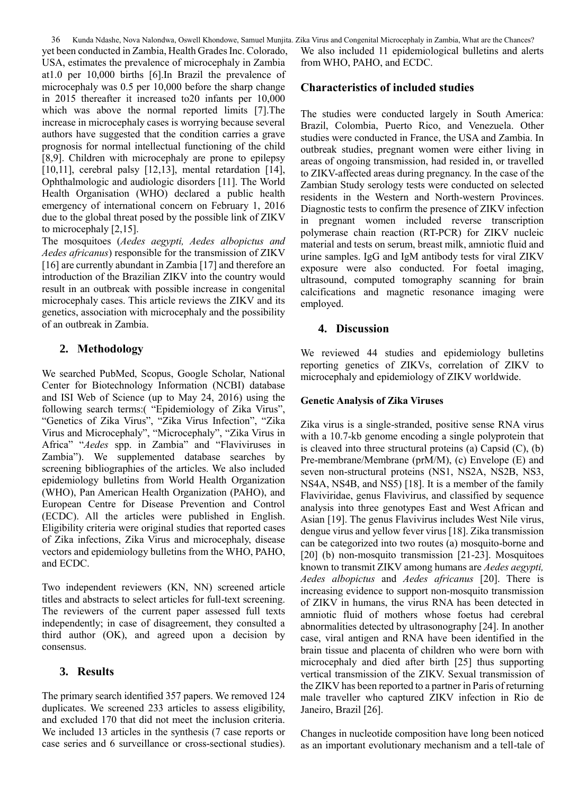36 Kunda Ndashe, Nova Nalondwa, Oswell Khondowe, Samuel Munjita. Zika Virus and Congenital Microcephaly in Zambia, What are the Chances? yet been conducted in Zambia, Health Grades Inc. Colorado, USA, estimates the prevalence of microcephaly in Zambia at1.0 per 10,000 births [6].In Brazil the prevalence of microcephaly was 0.5 per 10,000 before the sharp change in 2015 thereafter it increased to20 infants per 10,000 which was above the normal reported limits [7].The increase in microcephaly cases is worrying because several authors have suggested that the condition carries a grave prognosis for normal intellectual functioning of the child [8,9]. Children with microcephaly are prone to epilepsy [10,11], cerebral palsy [12,13], mental retardation [14], Ophthalmologic and audiologic disorders [11]. The World Health Organisation (WHO) declared a public health emergency of international concern on February 1, 2016 due to the global threat posed by the possible link of ZIKV to microcephaly [2,15].

The mosquitoes (*Aedes aegypti, Aedes albopictus and Aedes africanus*) responsible for the transmission of ZIKV [16] are currently abundant in Zambia [17] and therefore an introduction of the Brazilian ZIKV into the country would result in an outbreak with possible increase in congenital microcephaly cases. This article reviews the ZIKV and its genetics, association with microcephaly and the possibility of an outbreak in Zambia.

## **2. Methodology**

We searched PubMed, Scopus, Google Scholar, National Center for Biotechnology Information (NCBI) database and ISI Web of Science (up to May 24, 2016) using the following search terms:( "Epidemiology of Zika Virus", "Genetics of Zika Virus", "Zika Virus Infection", "Zika Virus and Microcephaly", "Microcephaly", "Zika Virus in Africa" "*Aedes* spp. in Zambia" and "Flaviviruses in Zambia"). We supplemented database searches by screening bibliographies of the articles. We also included epidemiology bulletins from World Health Organization (WHO), Pan American Health Organization (PAHO), and European Centre for Disease Prevention and Control (ECDC). All the articles were published in English. Eligibility criteria were original studies that reported cases of Zika infections, Zika Virus and microcephaly, disease vectors and epidemiology bulletins from the WHO, PAHO, and ECDC.

Two independent reviewers (KN, NN) screened article titles and abstracts to select articles for full-text screening. The reviewers of the current paper assessed full texts independently; in case of disagreement, they consulted a third author (OK), and agreed upon a decision by consensus.

## **3. Results**

The primary search identified 357 papers. We removed 124 duplicates. We screened 233 articles to assess eligibility, and excluded 170 that did not meet the inclusion criteria. We included 13 articles in the synthesis (7 case reports or case series and 6 surveillance or cross-sectional studies).

We also included 11 epidemiological bulletins and alerts from WHO, PAHO, and ECDC.

### **Characteristics of included studies**

The studies were conducted largely in South America: Brazil, Colombia, Puerto Rico, and Venezuela. Other studies were conducted in France, the USA and Zambia. In outbreak studies, pregnant women were either living in areas of ongoing transmission, had resided in, or travelled to ZIKV-affected areas during pregnancy. In the case of the Zambian Study serology tests were conducted on selected residents in the Western and North-western Provinces. Diagnostic tests to confirm the presence of ZIKV infection in pregnant women included reverse transcription polymerase chain reaction (RT-PCR) for ZIKV nucleic material and tests on serum, breast milk, amniotic fluid and urine samples. IgG and IgM antibody tests for viral ZIKV exposure were also conducted. For foetal imaging, ultrasound, computed tomography scanning for brain calcifications and magnetic resonance imaging were employed.

### **4. Discussion**

We reviewed 44 studies and epidemiology bulletins reporting genetics of ZIKVs, correlation of ZIKV to microcephaly and epidemiology of ZIKV worldwide.

### **Genetic Analysis of Zika Viruses**

Zika virus is a single-stranded, positive sense RNA virus with a 10.7-kb genome encoding a single polyprotein that is cleaved into three structural proteins (a) Capsid  $(C)$ ,  $(b)$ Pre-membrane/Membrane (prM/M), (c) Envelope (E) and seven non-structural proteins (NS1, NS2A, NS2B, NS3, NS4A, NS4B, and NS5) [18]. It is a member of the family Flaviviridae, genus Flavivirus, and classified by sequence analysis into three genotypes East and West African and Asian [19]. The genus Flavivirus includes West Nile virus, dengue virus and yellow fever virus [18]. Zika transmission can be categorized into two routes (a) mosquito-borne and [20] (b) non-mosquito transmission [21-23]. Mosquitoes known to transmit ZIKV among humans are *Aedes aegypti, Aedes albopictus* and *Aedes africanus* [20]. There is increasing evidence to support non-mosquito transmission of ZIKV in humans, the virus RNA has been detected in amniotic fluid of mothers whose foetus had cerebral abnormalities detected by ultrasonography [24]. In another case, viral antigen and RNA have been identified in the brain tissue and placenta of children who were born with microcephaly and died after birth [25] thus supporting vertical transmission of the ZIKV. Sexual transmission of the ZIKV has been reported to a partner in Paris of returning male traveller who captured ZIKV infection in Rio de Janeiro, Brazil [26].

Changes in nucleotide composition have long been noticed as an important evolutionary mechanism and a tell-tale of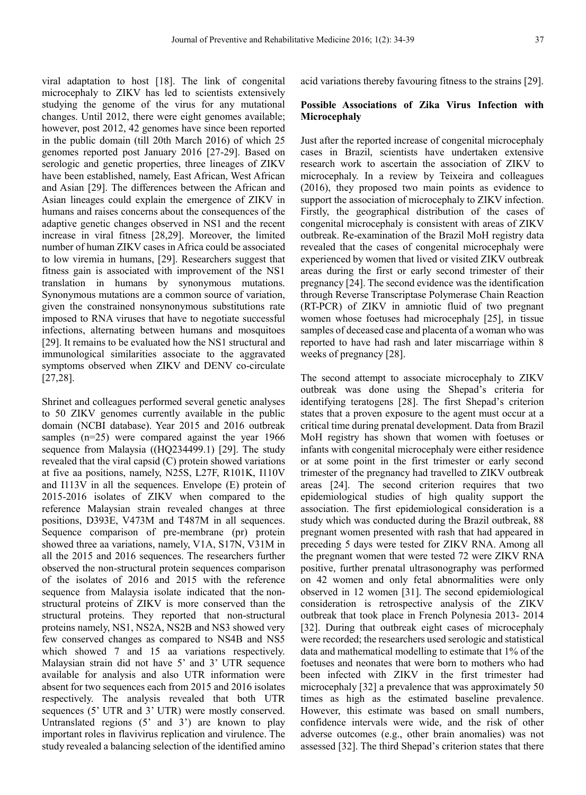viral adaptation to host [18]. The link of congenital microcephaly to ZIKV has led to scientists extensively studying the genome of the virus for any mutational changes. Until 2012, there were eight genomes available; however, post 2012, 42 genomes have since been reported in the public domain (till 20th March 2016) of which 25 genomes reported post January 2016 [27-29]. Based on serologic and genetic properties, three lineages of ZIKV have been established, namely, East African, West African and Asian [29]. The differences between the African and Asian lineages could explain the emergence of ZIKV in humans and raises concerns about the consequences of the adaptive genetic changes observed in NS1 and the recent increase in viral fitness [28,29]. Moreover, the limited number of human ZIKV cases in Africa could be associated to low viremia in humans, [29]. Researchers suggest that fitness gain is associated with improvement of the NS1 translation in humans by synonymous mutations. Synonymous mutations are a common source of variation, given the constrained nonsynonymous substitutions rate imposed to RNA viruses that have to negotiate successful infections, alternating between humans and mosquitoes [29]. It remains to be evaluated how the NS1 structural and immunological similarities associate to the aggravated symptoms observed when ZIKV and DENV co-circulate [27,28].

Shrinet and colleagues performed several genetic analyses to 50 ZIKV genomes currently available in the public domain (NCBI database). Year 2015 and 2016 outbreak samples (n=25) were compared against the year 1966 sequence from Malaysia ((HQ234499.1) [29]. The study revealed that the viral capsid (C) protein showed variations at five aa positions, namely, N25S, L27F, R101K, I110V and I113V in all the sequences. Envelope (E) protein of 2015-2016 isolates of ZIKV when compared to the reference Malaysian strain revealed changes at three positions, D393E, V473M and T487M in all sequences. Sequence comparison of pre-membrane (pr) protein showed three aa variations, namely, V1A, S17N, V31M in all the 2015 and 2016 sequences. The researchers further observed the non-structural protein sequences comparison of the isolates of 2016 and 2015 with the reference sequence from Malaysia isolate indicated that the nonstructural proteins of ZIKV is more conserved than the structural proteins. They reported that non-structural proteins namely, NS1, NS2A, NS2B and NS3 showed very few conserved changes as compared to NS4B and NS5 which showed 7 and 15 aa variations respectively. Malaysian strain did not have 5' and 3' UTR sequence available for analysis and also UTR information were absent for two sequences each from 2015 and 2016 isolates respectively. The analysis revealed that both UTR sequences (5' UTR and 3' UTR) were mostly conserved. Untranslated regions (5' and 3') are known to play important roles in flavivirus replication and virulence. The study revealed a balancing selection of the identified amino

acid variations thereby favouring fitness to the strains [29].

### **Possible Associations of Zika Virus Infection with Microcephaly**

Just after the reported increase of congenital microcephaly cases in Brazil, scientists have undertaken extensive research work to ascertain the association of ZIKV to microcephaly. In a review by Teixeira and colleagues (2016), they proposed two main points as evidence to support the association of microcephaly to ZIKV infection. Firstly, the geographical distribution of the cases of congenital microcephaly is consistent with areas of ZIKV outbreak. Re-examination of the Brazil MoH registry data revealed that the cases of congenital microcephaly were experienced by women that lived or visited ZIKV outbreak areas during the first or early second trimester of their pregnancy [24]. The second evidence was the identification through Reverse Transcriptase Polymerase Chain Reaction (RT-PCR) of ZIKV in amniotic fluid of two pregnant women whose foetuses had microcephaly [25], in tissue samples of deceased case and placenta of a woman who was reported to have had rash and later miscarriage within 8 weeks of pregnancy [28].

The second attempt to associate microcephaly to ZIKV outbreak was done using the Shepad's criteria for identifying teratogens [28]. The first Shepad's criterion states that a proven exposure to the agent must occur at a critical time during prenatal development. Data from Brazil MoH registry has shown that women with foetuses or infants with congenital microcephaly were either residence or at some point in the first trimester or early second trimester of the pregnancy had travelled to ZIKV outbreak areas [24]. The second criterion requires that two epidemiological studies of high quality support the association. The first epidemiological consideration is a study which was conducted during the Brazil outbreak, 88 pregnant women presented with rash that had appeared in preceding 5 days were tested for ZIKV RNA. Among all the pregnant women that were tested 72 were ZIKV RNA positive, further prenatal ultrasonography was performed on 42 women and only fetal abnormalities were only observed in 12 women [31]. The second epidemiological consideration is retrospective analysis of the ZIKV outbreak that took place in French Polynesia 2013- 2014 [32]. During that outbreak eight cases of microcephaly were recorded; the researchers used serologic and statistical data and mathematical modelling to estimate that 1% of the foetuses and neonates that were born to mothers who had been infected with ZIKV in the first trimester had microcephaly [32] a prevalence that was approximately 50 times as high as the estimated baseline prevalence. However, this estimate was based on small numbers, confidence intervals were wide, and the risk of other adverse outcomes (e.g., other brain anomalies) was not assessed [32]. The third Shepad's criterion states that there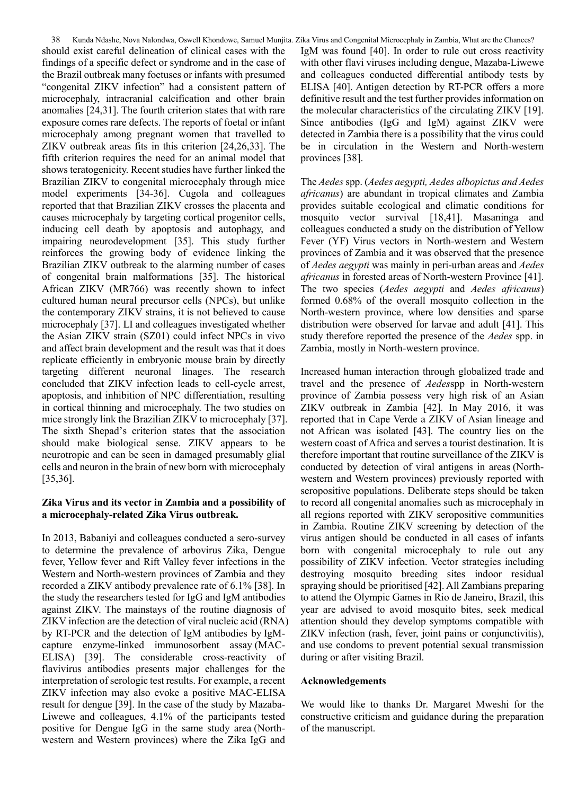should exist careful delineation of clinical cases with the findings of a specific defect or syndrome and in the case of the Brazil outbreak many foetuses or infants with presumed "congenital ZIKV infection" had a consistent pattern of microcephaly, intracranial calcification and other brain anomalies [24,31]. The fourth criterion states that with rare exposure comes rare defects. The reports of foetal or infant microcephaly among pregnant women that travelled to ZIKV outbreak areas fits in this criterion [24,26,33]. The fifth criterion requires the need for an animal model that shows teratogenicity. Recent studies have further linked the Brazilian ZIKV to congenital microcephaly through mice model experiments [34-36]. Cugola and colleagues reported that that Brazilian ZIKV crosses the placenta and causes microcephaly by targeting cortical progenitor cells, inducing cell death by apoptosis and autophagy, and impairing neurodevelopment [35]. This study further reinforces the growing body of evidence linking the Brazilian ZIKV outbreak to the alarming number of cases of congenital brain malformations [35]. The historical African ZIKV (MR766) was recently shown to infect cultured human neural precursor cells (NPCs), but unlike the contemporary ZIKV strains, it is not believed to cause microcephaly [37]. LI and colleagues investigated whether the Asian ZIKV strain (SZ01) could infect NPCs in vivo and affect brain development and the result was that it does replicate efficiently in embryonic mouse brain by directly targeting different neuronal linages. The research concluded that ZIKV infection leads to cell-cycle arrest, apoptosis, and inhibition of NPC differentiation, resulting in cortical thinning and microcephaly. The two studies on mice strongly link the Brazilian ZIKV to microcephaly [37]. The sixth Shepad's criterion states that the association should make biological sense. ZIKV appears to be neurotropic and can be seen in damaged presumably glial cells and neuron in the brain of new born with microcephaly [35,36].

### **Zika Virus and its vector in Zambia and a possibility of a microcephaly-related Zika Virus outbreak.**

In 2013, Babaniyi and colleagues conducted a sero-survey to determine the prevalence of arbovirus Zika, Dengue fever, Yellow fever and Rift Valley fever infections in the Western and North-western provinces of Zambia and they recorded a ZIKV antibody prevalence rate of 6.1% [38]. In the study the researchers tested for IgG and IgM antibodies against ZIKV. The mainstays of the routine diagnosis of ZIKV infection are the detection of viral nucleic acid (RNA) by RT-PCR and the detection of IgM antibodies by IgMcapture enzyme-linked immunosorbent assay (MAC-ELISA) [39]. The considerable cross-reactivity of flavivirus antibodies presents major challenges for the interpretation of serologic test results. For example, a recent ZIKV infection may also evoke a positive MAC-ELISA result for dengue [39]. In the case of the study by Mazaba-Liwewe and colleagues, 4.1% of the participants tested positive for Dengue IgG in the same study area (Northwestern and Western provinces) where the Zika IgG and

38 Kunda Ndashe, Nova Nalondwa, Oswell Khondowe, Samuel Munjita. Zika Virus and Congenital Microcephaly in Zambia, What are the Chances? IgM was found [40]. In order to rule out cross reactivity with other flavi viruses including dengue, Mazaba-Liwewe and colleagues conducted differential antibody tests by ELISA [40]. Antigen detection by RT-PCR offers a more definitive result and the test further provides information on the molecular characteristics of the circulating ZIKV [19]. Since antibodies (IgG and IgM) against ZIKV were detected in Zambia there is a possibility that the virus could be in circulation in the Western and North-western provinces [38].

> The *Aedes* spp. (*Aedes aegypti, Aedes albopictus and Aedes africanus*) are abundant in tropical climates and Zambia provides suitable ecological and climatic conditions for mosquito vector survival [18,41]. Masaninga and colleagues conducted a study on the distribution of Yellow Fever (YF) Virus vectors in North-western and Western provinces of Zambia and it was observed that the presence of *Aedes aegypti* was mainly in peri-urban areas and *Aedes africanus* in forested areas of North-western Province [41]. The two species (*Aedes aegypti* and *Aedes africanus*) formed 0.68% of the overall mosquito collection in the North-western province, where low densities and sparse distribution were observed for larvae and adult [41]. This study therefore reported the presence of the *Aedes* spp. in Zambia, mostly in North-western province.

> Increased human interaction through globalized trade and travel and the presence of *Aedes*spp in North-western province of Zambia possess very high risk of an Asian ZIKV outbreak in Zambia [42]. In May 2016, it was reported that in Cape Verde a ZIKV of Asian lineage and not African was isolated [43]. The country lies on the western coast of Africa and serves a tourist destination. It is therefore important that routine surveillance of the ZIKV is conducted by detection of viral antigens in areas (Northwestern and Western provinces) previously reported with seropositive populations. Deliberate steps should be taken to record all congenital anomalies such as microcephaly in all regions reported with ZIKV seropositive communities in Zambia. Routine ZIKV screening by detection of the virus antigen should be conducted in all cases of infants born with congenital microcephaly to rule out any possibility of ZIKV infection. Vector strategies including destroying mosquito breeding sites indoor residual spraying should be prioritised [42]. All Zambians preparing to attend the Olympic Games in Rio de Janeiro, Brazil, this year are advised to avoid mosquito bites, seek medical attention should they develop symptoms compatible with ZIKV infection (rash, fever, joint pains or conjunctivitis), and use condoms to prevent potential sexual transmission during or after visiting Brazil.

#### **Acknowledgements**

We would like to thanks Dr. Margaret Mweshi for the constructive criticism and guidance during the preparation of the manuscript.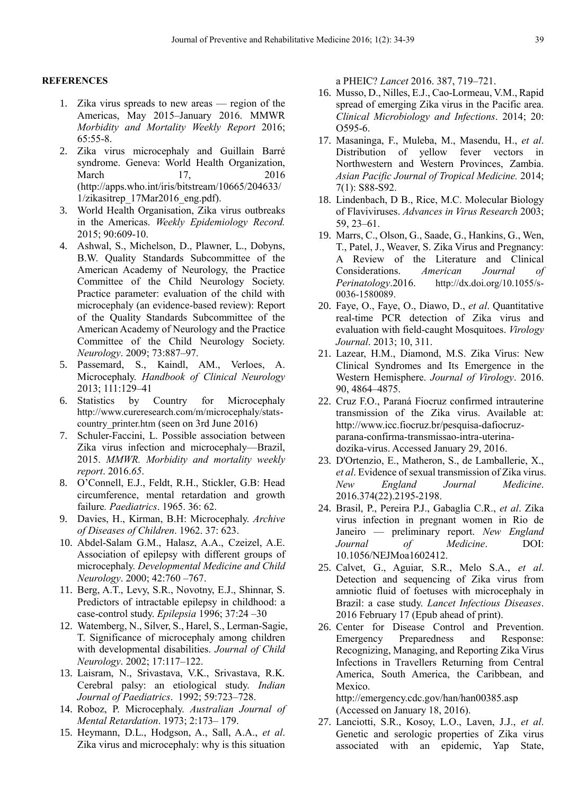#### **REFERENCES**

- 1. Zika virus spreads to new areas region of the Americas, May 2015–January 2016. MMWR *Morbidity and Mortality Weekly Report* 2016; 65:55-8.
- 2. Zika virus microcephaly and Guillain Barré syndrome. Geneva: World Health Organization, March 17, 2016 (http://apps.who.int/iris/bitstream/10665/204633/ 1/zikasitrep\_17Mar2016\_eng.pdf).
- 3. World Health Organisation, Zika virus outbreaks in the Americas. *Weekly Epidemiology Record.* 2015; 90:609-10.
- 4. Ashwal, S., Michelson, D., Plawner, L., Dobyns, B.W. Quality Standards Subcommittee of the American Academy of Neurology, the Practice Committee of the Child Neurology Society. Practice parameter: evaluation of the child with microcephaly (an evidence-based review): Report of the Quality Standards Subcommittee of the American Academy of Neurology and the Practice Committee of the Child Neurology Society. *Neurology*. 2009; 73:887–97.
- 5. Passemard, S., Kaindl, AM., Verloes, A. Microcephaly. *Handbook of Clinical Neurology* 2013; 111:129–41
- 6. Statistics by Country for Microcephaly [http://www.cureresearch.com/m/microcephaly/stats](http://www.cureresearch.com/m/microcephaly/stats-country_printer.htm)country printer.htm (seen on 3rd June 2016)
- 7. Schuler-Faccini, L. Possible association between Zika virus infection and microcephaly—Brazil, 2015. *MMWR. Morbidity and mortality weekly report*. 2016.*65*.
- 8. O'Connell, E.J., Feldt, R.H., Stickler, G.B: Head circumference, mental retardation and growth failure*. Paediatrics*. 1965. 36: 62.
- 9. Davies, H., Kirman, B.H: Microcephaly. *Archive of Diseases of Children*. 1962. 37: 623.
- 10. Abdel-Salam G.M., Halasz, A.A., Czeizel, A.E. Association of epilepsy with different groups of microcephaly. *Developmental Medicine and Child Neurology*. 2000; 42:760 –767.
- 11. Berg, A.T., Levy, S.R., Novotny, E.J., Shinnar, S. Predictors of intractable epilepsy in childhood: a case-control study. *Epilepsia* 1996; 37:24 –30
- 12. Watemberg, N., Silver, S., Harel, S., Lerman-Sagie, T. Significance of microcephaly among children with developmental disabilities. *Journal of Child Neurology*. 2002; 17:117–122.
- 13. Laisram, N., Srivastava, V.K., Srivastava, R.K. Cerebral palsy: an etiological study. *Indian Journal of Paediatrics*. 1992; 59:723–728.
- 14. Roboz, P. Microcephaly. *Australian Journal of Mental Retardation*. 1973; 2:173– 179.
- 15. Heymann, D.L., Hodgson, A., Sall, A.A., *et al*. Zika virus and microcephaly: why is this situation

a PHEIC? *Lancet* 2016. 387, 719–721.

- 16. Musso, D., Nilles, E.J., Cao-Lormeau, V.M., Rapid spread of emerging Zika virus in the Pacific area. *Clinical Microbiology and Infections*. 2014; 20: O595-6.
- 17. Masaninga, F., Muleba, M., Masendu, H., *et al*. Distribution of yellow fever vectors in Northwestern and Western Provinces, Zambia. *Asian Pacific Journal of Tropical Medicine.* 2014; 7(1): S88-S92.
- 18. Lindenbach, D B., Rice, M.C. Molecular Biology of Flaviviruses. *Advances in Virus Research* 2003; 59, 23–61.
- 19. Marrs, C., Olson, G., Saade, G., Hankins, G., Wen, T., Patel, J., Weaver, S. Zika Virus and Pregnancy: A Review of the Literature and Clinical Considerations. *American Journal of Perinatology*.2016. [http://dx.doi.org/10.1055/s-](http://dx.doi.org/10.1055/s-0036-1580089)[0036-1580089.](http://dx.doi.org/10.1055/s-0036-1580089)
- 20. Faye, O., Faye, O., Diawo, D., *et al*. Quantitative real-time PCR detection of Zika virus and evaluation with field-caught Mosquitoes. *Virology Journal*. 2013; 10, 311.
- 21. Lazear, H.M., Diamond, M.S. Zika Virus: New Clinical Syndromes and Its Emergence in the Western Hemisphere. *Journal of Virology*. 2016. 90, 4864–4875.
- 22. Cruz F.O., Paraná Fiocruz confirmed intrauterine transmission of the Zika virus. Available at: http://www.icc.fiocruz.br/pesquisa-dafiocruzparana-confirma-transmissao-intra-uterinadozika-virus. Accessed January 29, 2016.
- 23. D'Ortenzio, E., Matheron, S., de Lamballerie, X., *et al*. Evidence of sexual transmission of Zika virus. *New England Journal Medicine*. 2016.374(22).2195-2198.
- 24. Brasil, P., Pereira P.J., Gabaglia C.R., *et al*. Zika virus infection in pregnant women in Rio de Janeiro — preliminary report. *New England Journal of Medicine*. DOI: 10.1056/NEJMoa1602412.
- 25. Calvet, G., Aguiar, S.R., Melo S.A., *et al*. Detection and sequencing of Zika virus from amniotic fluid of foetuses with microcephaly in Brazil: a case study. *Lancet Infectious Diseases*. 2016 February 17 (Epub ahead of print).
- 26. Center for Disease Control and Prevention. Emergency Preparedness and Response: Recognizing, Managing, and Reporting Zika Virus Infections in Travellers Returning from Central America, South America, the Caribbean, and Mexico.

http://emergency.cdc.gov/han/han00385.asp (Accessed on January 18, 2016).

27. Lanciotti, S.R., Kosoy, L.O., Laven, J.J., *et al*. Genetic and serologic properties of Zika virus associated with an epidemic, Yap State,